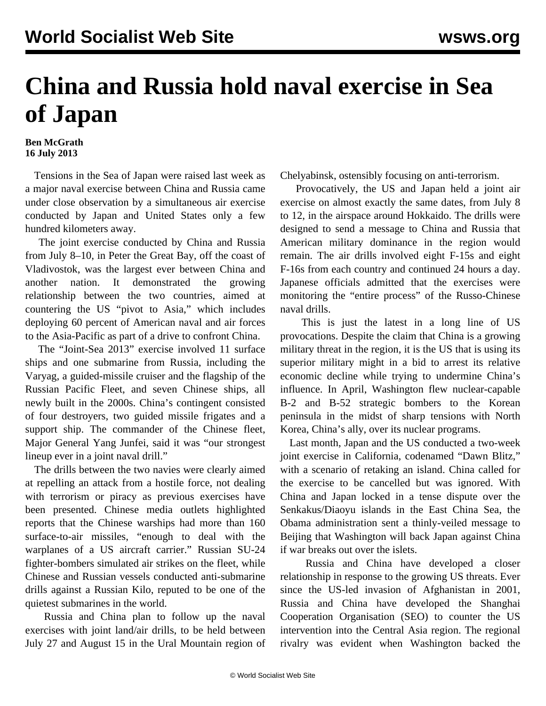## **China and Russia hold naval exercise in Sea of Japan**

## **Ben McGrath 16 July 2013**

 Tensions in the Sea of Japan were raised last week as a major naval exercise between China and Russia came under close observation by a simultaneous air exercise conducted by Japan and United States only a few hundred kilometers away.

 The joint exercise conducted by China and Russia from July 8–10, in Peter the Great Bay, off the coast of Vladivostok, was the largest ever between China and another nation. It demonstrated the growing relationship between the two countries, aimed at countering the US "pivot to Asia," which includes deploying 60 percent of American naval and air forces to the Asia-Pacific as part of a drive to confront China.

 The "Joint-Sea 2013" exercise involved 11 surface ships and one submarine from Russia, including the Varyag, a guided-missile cruiser and the flagship of the Russian Pacific Fleet, and seven Chinese ships, all newly built in the 2000s. China's contingent consisted of four destroyers, two guided missile frigates and a support ship. The commander of the Chinese fleet, Major General Yang Junfei, said it was "our strongest lineup ever in a joint naval drill."

 The drills between the two navies were clearly aimed at repelling an attack from a hostile force, not dealing with terrorism or piracy as previous exercises have been presented. Chinese media outlets highlighted reports that the Chinese warships had more than 160 surface-to-air missiles, "enough to deal with the warplanes of a US aircraft carrier." Russian SU-24 fighter-bombers simulated air strikes on the fleet, while Chinese and Russian vessels conducted anti-submarine drills against a Russian Kilo, reputed to be one of the quietest submarines in the world.

 Russia and China plan to follow up the naval exercises with joint land/air drills, to be held between July 27 and August 15 in the Ural Mountain region of Chelyabinsk, ostensibly focusing on anti-terrorism.

 Provocatively, the US and Japan held a joint air exercise on almost exactly the same dates, from July 8 to 12, in the airspace around Hokkaido. The drills were designed to send a message to China and Russia that American military dominance in the region would remain. The air drills involved eight F-15s and eight F-16s from each country and continued 24 hours a day. Japanese officials admitted that the exercises were monitoring the "entire process" of the Russo-Chinese naval drills.

 This is just the latest in a long line of US provocations. Despite the claim that China is a growing military threat in the region, it is the US that is using its superior military might in a bid to arrest its relative economic decline while trying to undermine China's influence. In April, Washington flew nuclear-capable B-2 and B-52 strategic bombers to the Korean peninsula in the midst of sharp tensions with North Korea, China's ally, over its nuclear programs.

 Last month, Japan and the US conducted a two-week joint exercise in California, codenamed "Dawn Blitz," with a scenario of retaking an island. China called for the exercise to be cancelled but was ignored. With China and Japan locked in a tense dispute over the Senkakus/Diaoyu islands in the East China Sea, the Obama administration sent a thinly-veiled message to Beijing that Washington will back Japan against China if war breaks out over the islets.

 Russia and China have developed a closer relationship in response to the growing US threats. Ever since the US-led invasion of Afghanistan in 2001, Russia and China have developed the Shanghai Cooperation Organisation (SEO) to counter the US intervention into the Central Asia region. The regional rivalry was evident when Washington backed the